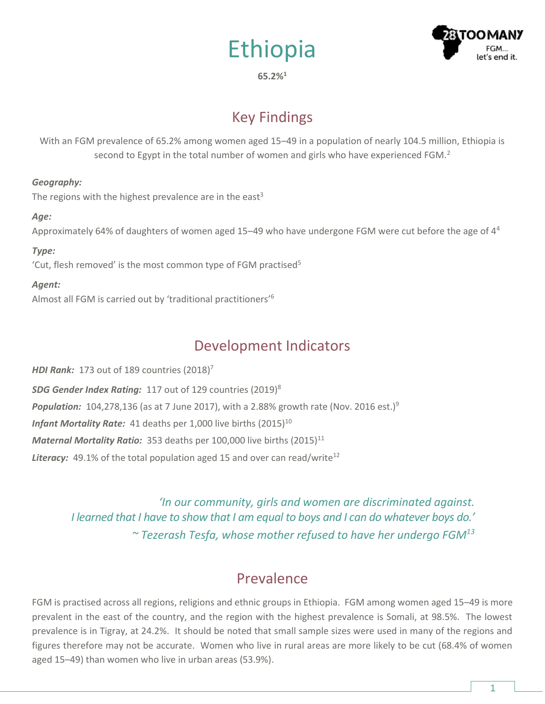



#### **65.2%<sup>1</sup>**

# Key Findings

With an FGM prevalence of 65.2% among women aged 15–49 in a population of nearly 104.5 million, Ethiopia is second to Egypt in the total number of women and girls who have experienced FGM. $<sup>2</sup>$ </sup>

### *Geography:*

The regions with the highest prevalence are in the east<sup>3</sup>

### *Age:*

Approximately 64% of daughters of women aged 15–49 who have undergone FGM were cut before the age of 4<sup>4</sup>

### *Type:*

'Cut, flesh removed' is the most common type of FGM practised<sup>5</sup>

### *Agent:*

Almost all FGM is carried out by 'traditional practitioners'<sup>6</sup>

# Development Indicators

*HDI Rank:* 173 out of 189 countries (2018) 7 *SDG Gender Index Rating:* 117 out of 129 countries (2019)<sup>8</sup> **Population:** 104,278,136 (as at 7 June 2017), with a 2.88% growth rate (Nov. 2016 est.)<sup>9</sup> *Infant Mortality Rate:* 41 deaths per 1,000 live births (2015)<sup>10</sup> *Maternal Mortality Ratio:* 353 deaths per 100,000 live births (2015)<sup>11</sup> **Literacy:** 49.1% of the total population aged 15 and over can read/write<sup>12</sup>

> *'In our community, girls and women are discriminated against. I learned that I have to show that I am equal to boys and I can do whatever boys do.' ~ Tezerash Tesfa, whose mother refused to have her undergo FGM<sup>13</sup>*

## **Prevalence**

FGM is practised across all regions, religions and ethnic groups in Ethiopia. FGM among women aged 15–49 is more prevalent in the east of the country, and the region with the highest prevalence is Somali, at 98.5%. The lowest prevalence is in Tigray, at 24.2%. It should be noted that small sample sizes were used in many of the regions and figures therefore may not be accurate. Women who live in rural areas are more likely to be cut (68.4% of women aged 15–49) than women who live in urban areas (53.9%).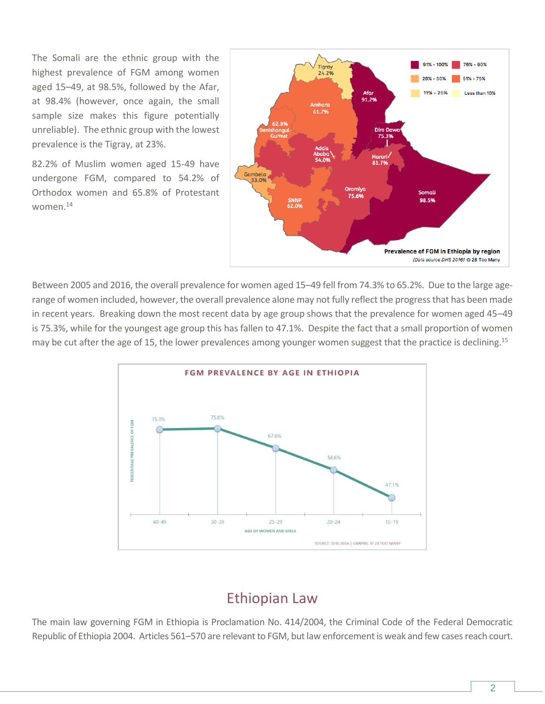The Somali are the ethnic group with the highest prevalence of FGM among women aged 15–49, at 98.5%, followed by the Afar, at 98.4% (however, once again, the small sample size makes this figure potentially unreliable). The ethnic group with the lowest prevalence is the Tigray, at 23%.

82.2% of Muslim women aged 15-49 have undergone FGM, compared to 54.2% of Orthodox women and 65.8% of Protestant women.<sup>14</sup>



Between 2005 and 2016, the overall prevalence for women aged 15–49 fell from 74.3% to 65.2%. Due to the large agerange of women included, however, the overall prevalence alone may not fully reflect the progress that has been made in recent years. Breaking down the most recent data by age group shows that the prevalence for women aged 45–49 is 75.3%, while for the youngest age group this has fallen to 47.1%. Despite the fact that a small proportion of women may be cut after the age of 15, the lower prevalences among younger women suggest that the practice is declining.<sup>15</sup>



## Ethiopian Law

The main law governing FGM in Ethiopia is Proclamation No. 414/2004, the Criminal Code of the Federal Democratic Republic of Ethiopia 2004. Articles 561–570 are relevant to FGM, but law enforcement is weak and few cases reach court.